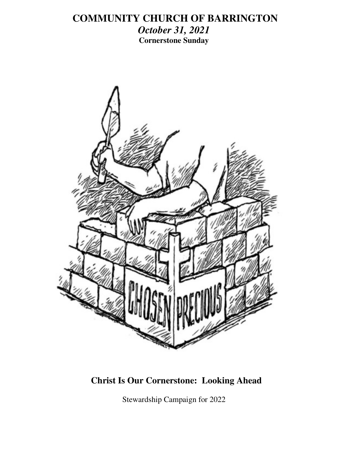## **COMMUNITY CHURCH OF BARRINGTON**

*October 31, 2021*  **Cornerstone Sunday** 



 **Christ Is Our Cornerstone: Looking Ahead** 

Stewardship Campaign for 2022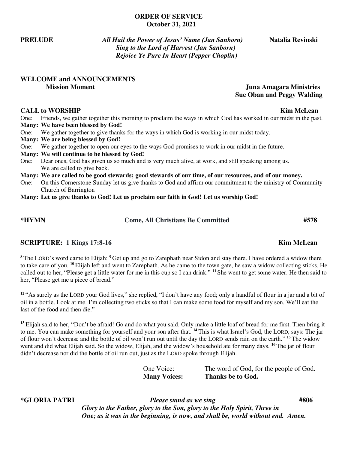## **ORDER OF SERVICE October 31, 2021**

**PRELUDE** *All Hail the Power of Jesus' Name (Jan Sanborn)* **Natalia Revinski**  *Sing to the Lord of Harvest (Jan Sanborn) Rejoice Ye Pure In Heart (Pepper Choplin)* 

## **WELCOME and ANNOUNCEMENTS**

## **Mission Moment** Juna Amagara Ministries  **Sue Oban and Peggy Walding**

## **CALL to WORSHIP Kim McLean Kim McLean**

- One: Friends, we gather together this morning to proclaim the ways in which God has worked in our midst in the past.
- **Many: We have been blessed by God!**
- One: We gather together to give thanks for the ways in which God is working in our midst today.
- **Many: We are being blessed by God!**
- One: We gather together to open our eyes to the ways God promises to work in our midst in the future.
- **Many: We will continue to be blessed by God!**
- One: Dear ones, God has given us so much and is very much alive, at work, and still speaking among us. We are called to give back.
- **Many: We are called to be good stewards; good stewards of our time, of our resources, and of our money.**
- One: On this Cornerstone Sunday let us give thanks to God and affirm our commitment to the ministry of Community Church of Barrington
- **Many: Let us give thanks to God! Let us proclaim our faith in God! Let us worship God!**

## **\*HYMN Come, All Christians Be Committed #578**

## **SCRIPTURE:** 1 Kings 17:8-16 **Kim McLean**

**<sup>8</sup>**The LORD's word came to Elijah: **<sup>9</sup>**Get up and go to Zarephath near Sidon and stay there. I have ordered a widow there to take care of you. **<sup>10</sup>**Elijah left and went to Zarephath. As he came to the town gate, he saw a widow collecting sticks. He called out to her, "Please get a little water for me in this cup so I can drink." **<sup>11</sup>**She went to get some water. He then said to her, "Please get me a piece of bread."

<sup>12</sup> "As surely as the LORD your God lives," she replied, "I don't have any food; only a handful of flour in a jar and a bit of oil in a bottle. Look at me. I'm collecting two sticks so that I can make some food for myself and my son. We'll eat the last of the food and then die."

**<sup>13</sup>**Elijah said to her, "Don't be afraid! Go and do what you said. Only make a little loaf of bread for me first. Then bring it to me. You can make something for yourself and your son after that. **<sup>14</sup>**This is what Israel's God, the LORD, says: The jar of flour won't decrease and the bottle of oil won't run out until the day the LORD sends rain on the earth." **<sup>15</sup>**The widow went and did what Elijah said. So the widow, Elijah, and the widow's household ate for many days. **<sup>16</sup>**The jar of flour didn't decrease nor did the bottle of oil run out, just as the LORD spoke through Elijah.

| One Voice:          | The word of God, for the people of God. |
|---------------------|-----------------------------------------|
| <b>Many Voices:</b> | Thanks be to God.                       |

**\*GLORIA PATRI** *Please stand as we sing* **#806** *Glory to the Father, glory to the Son, glory to the Holy Spirit, Three in One; as it was in the beginning, is now, and shall be, world without end. Amen.*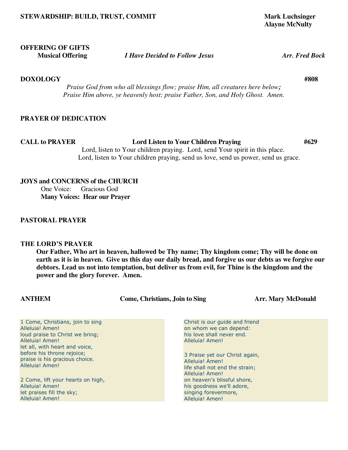**Alayne McNulty** 

# **OFFERING OF GIFTS**

 **Musical Offering** *I Have Decided to Follow Jesus Arr. Fred Bock*

**DOXOLOGY****#808**

 *Praise God from who all blessings flow; praise Him, all creatures here below; Praise Him above, ye heavenly host; praise Father, Son, and Holy Ghost. Amen.* 

## **PRAYER OF DEDICATION**

**CALL to PRAYER Lord Listen to Your Children Praying #629** 

 Lord, listen to Your children praying. Lord, send Your spirit in this place. Lord, listen to Your children praying, send us love, send us power, send us grace.

**JOYS and CONCERNS of the CHURCH**  One Voice: Gracious God **Many Voices: Hear our Prayer** 

## **PASTORAL PRAYER**

## **THE LORD'S PRAYER**

**Our Father, Who art in heaven, hallowed be Thy name; Thy kingdom come; Thy will be done on earth as it is in heaven. Give us this day our daily bread, and forgive us our debts as we forgive our debtors. Lead us not into temptation, but deliver us from evil, for Thine is the kingdom and the power and the glory forever. Amen.** 

**ANTHEM Come, Christians, Join to Sing Arr. Mary McDonald** 

1 Come, Christians, join to sing Alleluia! Amen! loud praise to Christ we bring; Alleluia! Amen! let all, with heart and voice, before his throne rejoice; praise is his gracious choice. Alleluia! Amen!

2 Come, lift your hearts on high, Alleluia! Amen! let praises fill the sky; Alleluia! Amen!

Christ is our guide and friend on whom we can depend: his love shall never end. Alleluia! Amen!

3 Praise yet our Christ again, Alleluia! Amen! life shall not end the strain; Alleluia! Amen! on heaven's blissful shore, his goodness we'll adore, singing forevermore, Alleluia! Amen!